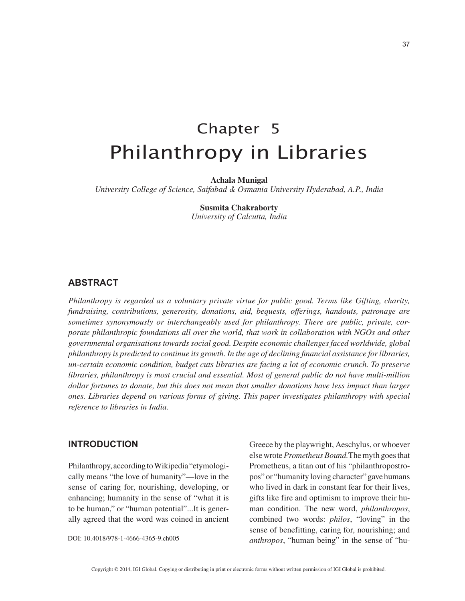37

# Chapter 5 Philanthropy in Libraries

**Achala Munigal**

*University College of Science, Saifabad & Osmania University Hyderabad, A.P., India*

**Susmita Chakraborty** *University of Calcutta, India*

# **ABSTRACT**

*Philanthropy is regarded as a voluntary private virtue for public good. Terms like Gifting, charity, fundraising, contributions, generosity, donations, aid, bequests, offerings, handouts, patronage are sometimes synonymously or interchangeably used for philanthropy. There are public, private, corporate philanthropic foundations all over the world, that work in collaboration with NGOs and other governmental organisations towards social good. Despite economic challenges faced worldwide, global philanthropy is predicted to continue its growth. In the age of declining financial assistance for libraries, un-certain economic condition, budget cuts libraries are facing a lot of economic crunch. To preserve libraries, philanthropy is most crucial and essential. Most of general public do not have multi-million dollar fortunes to donate, but this does not mean that smaller donations have less impact than larger ones. Libraries depend on various forms of giving. This paper investigates philanthropy with special reference to libraries in India.*

# **INTRODUCTION**

Philanthropy, according to Wikipedia "etymologically means "the love of humanity"—love in the sense of caring for, nourishing, developing, or enhancing; humanity in the sense of "what it is to be human," or "human potential"...It is generally agreed that the word was coined in ancient

DOI: 10.4018/978-1-4666-4365-9.ch005

Greece by the playwright, Aeschylus, or whoever else wrote *Prometheus Bound.*The myth goes that Prometheus, a titan out of his "philanthropostropos" or "humanity loving character" gave humans who lived in dark in constant fear for their lives, gifts like fire and optimism to improve their human condition. The new word, *philanthropos*, combined two words: *philos*, "loving" in the sense of benefitting, caring for, nourishing; and *anthropos*, "human being" in the sense of "hu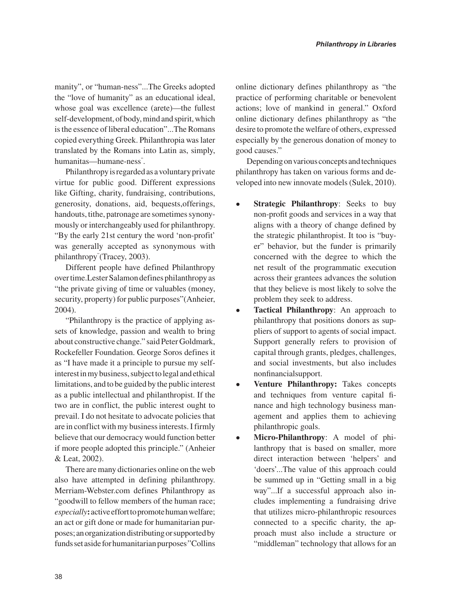manity", or "human-ness"...The Greeks adopted the "love of humanity" as an educational ideal, whose goal was excellence (arete)—the fullest self-development, of body, mind and spirit, which is the essence of liberal education"...The Romans copied everything Greek. Philanthropia was later translated by the Romans into Latin as, simply, humanitas—humane-ness" .

Philanthropy is regarded as a voluntary private virtue for public good. Different expressions like Gifting, charity, fundraising, contributions, generosity, donations, aid, bequests,offerings, handouts, tithe, patronage are sometimes synonymously or interchangeably used for philanthropy. "By the early 21st century the word 'non-profit' was generally accepted as synonymous with philanthropy" (Tracey, 2003).

Different people have defined Philanthropy over time.Lester Salamon defines philanthropy as "the private giving of time or valuables (money, security, property) for public purposes"(Anheier, 2004).

"Philanthropy is the practice of applying assets of knowledge, passion and wealth to bring about constructive change." said Peter Goldmark, Rockefeller Foundation. George Soros defines it as "I have made it a principle to pursue my selfinterest in my business, subject to legal and ethical limitations, and to be guided by the public interest as a public intellectual and philanthropist. If the two are in conflict, the public interest ought to prevail. I do not hesitate to advocate policies that are in conflict with my business interests. I firmly believe that our democracy would function better if more people adopted this principle." (Anheier & Leat, 2002).

There are many dictionaries online on the web also have attempted in defining philanthropy. Merriam-Webster.com defines Philanthropy as "goodwill to fellow members of the human race; *especially***:** active effort to promote human welfare; an act or gift done or made for humanitarian purposes; an organization distributing or supported by funds set aside for humanitarian purposes" Collins online dictionary defines philanthropy as "the practice of performing charitable or benevolent actions; love of mankind in general." Oxford online dictionary defines philanthropy as "the desire to promote the welfare of others, expressed especially by the generous donation of money to good causes."

Depending on various concepts and techniques philanthropy has taken on various forms and developed into new innovate models (Sulek, 2010).

- **Strategic Philanthropy**: Seeks to buy non-profit goods and services in a way that aligns with a theory of change defined by the strategic philanthropist. It too is "buyer" behavior, but the funder is primarily concerned with the degree to which the net result of the programmatic execution across their grantees advances the solution that they believe is most likely to solve the problem they seek to address.
- **Tactical Philanthropy**: An approach to philanthropy that positions donors as suppliers of support to agents of social impact. Support generally refers to provision of capital through grants, pledges, challenges, and social investments, but also includes nonfinancialsupport.
- **Venture Philanthropy:** Takes concepts and techniques from venture capital finance and high technology business management and applies them to achieving philanthropic goals.
- **Micro-Philanthropy**: A model of philanthropy that is based on smaller, more direct interaction between 'helpers' and 'doers'...The value of this approach could be summed up in "Getting small in a big way"...If a successful approach also includes implementing a fundraising drive that utilizes micro-philanthropic resources connected to a specific charity, the approach must also include a structure or "middleman" technology that allows for an